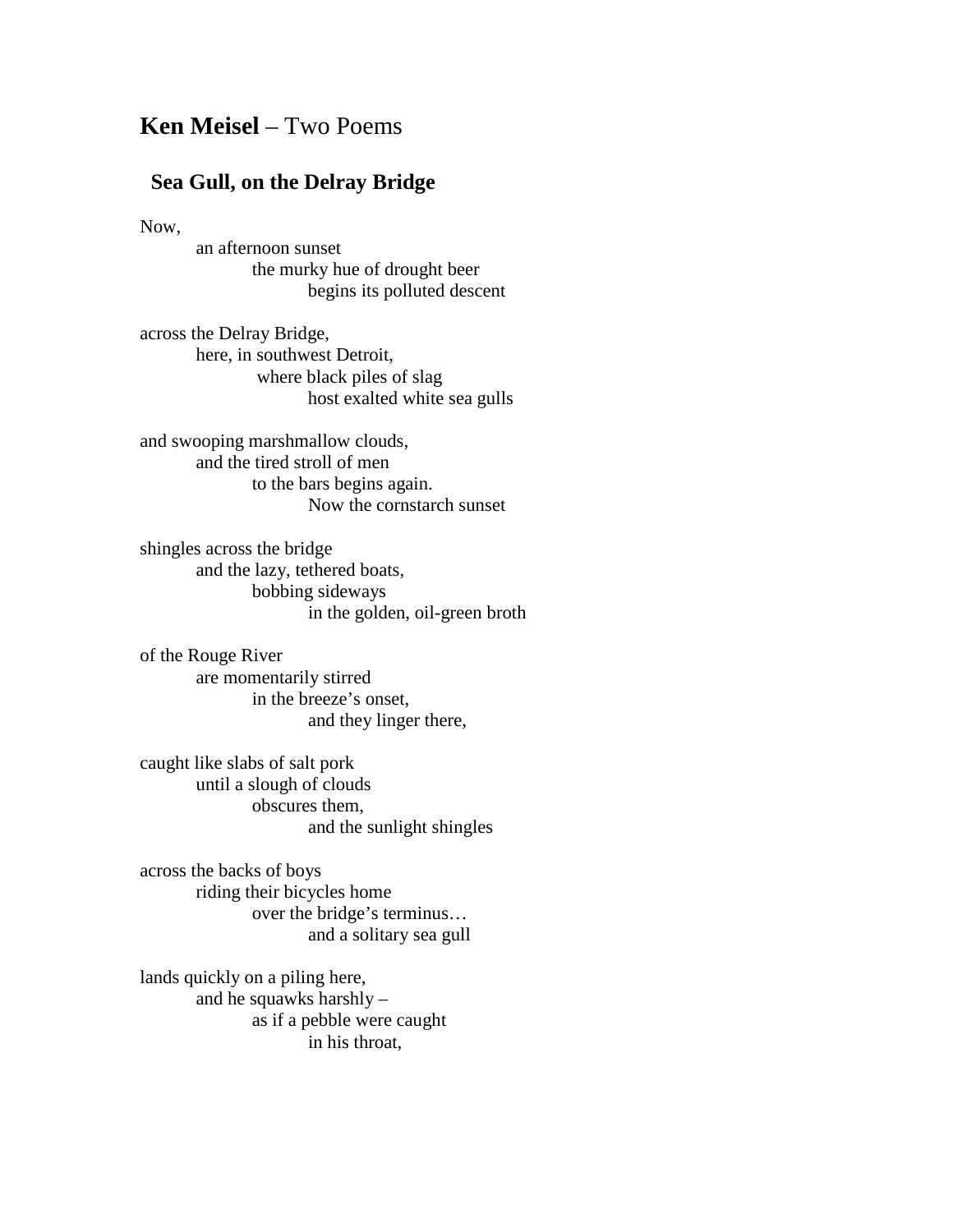## **Ken Meisel** – Two Poems

## **Sea Gull, on the Delray Bridge**

Now,

an afternoon sunset the murky hue of drought beer begins its polluted descent

across the Delray Bridge, here, in southwest Detroit, where black piles of slag host exalted white sea gulls

and swooping marshmallow clouds, and the tired stroll of men to the bars begins again. Now the cornstarch sunset

shingles across the bridge and the lazy, tethered boats, bobbing sideways in the golden, oil-green broth

of the Rouge River are momentarily stirred in the breeze's onset, and they linger there,

caught like slabs of salt pork until a slough of clouds obscures them, and the sunlight shingles

across the backs of boys riding their bicycles home over the bridge's terminus… and a solitary sea gull

lands quickly on a piling here, and he squawks harshly – as if a pebble were caught in his throat,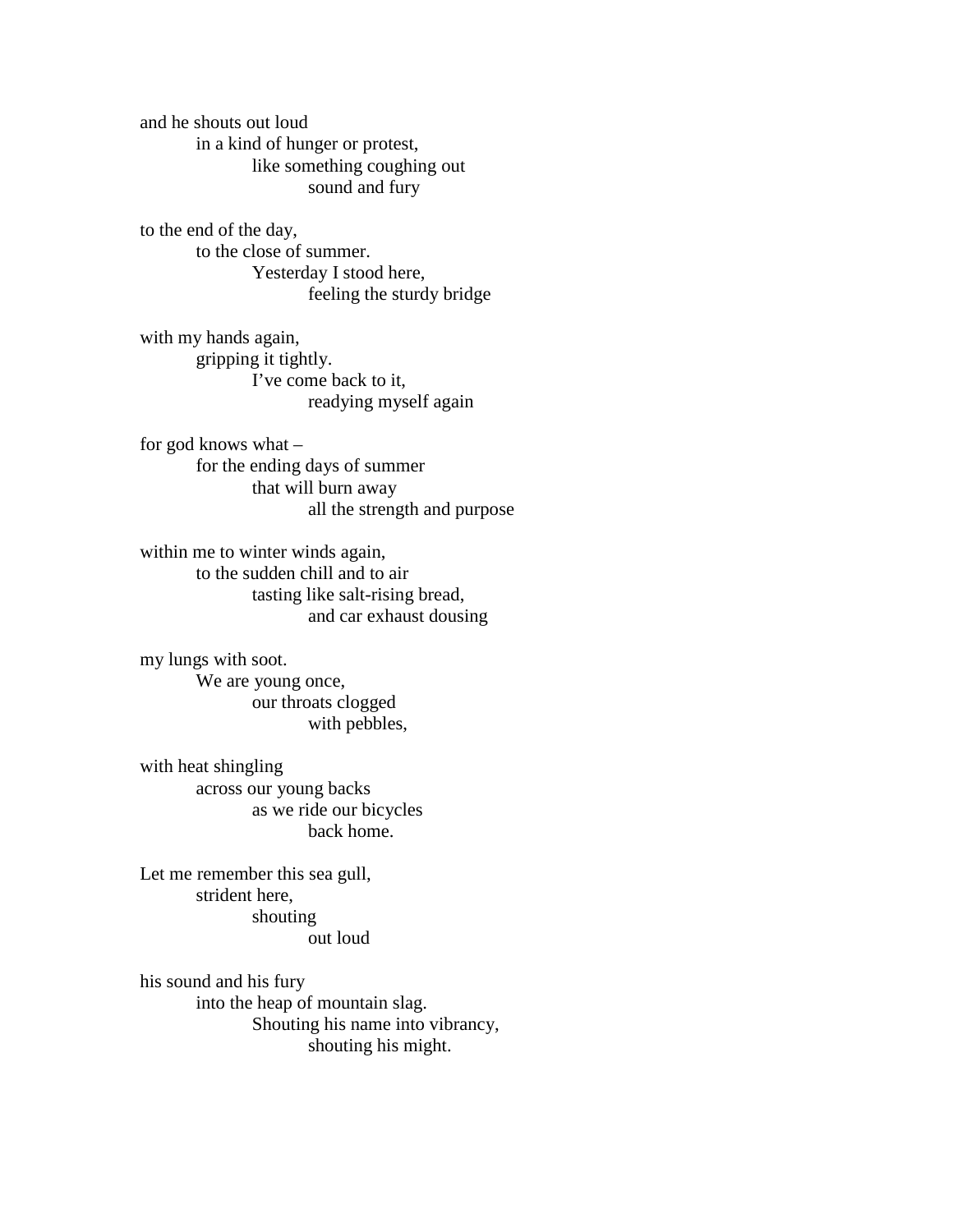and he shouts out loud in a kind of hunger or protest, like something coughing out sound and fury

to the end of the day, to the close of summer. Yesterday I stood here, feeling the sturdy bridge

with my hands again, gripping it tightly. I've come back to it, readying myself again

for god knows what – for the ending days of summer that will burn away all the strength and purpose

within me to winter winds again, to the sudden chill and to air tasting like salt-rising bread, and car exhaust dousing

my lungs with soot. We are young once, our throats clogged with pebbles,

with heat shingling across our young backs as we ride our bicycles back home.

Let me remember this sea gull, strident here, shouting out loud

his sound and his fury into the heap of mountain slag. Shouting his name into vibrancy, shouting his might.